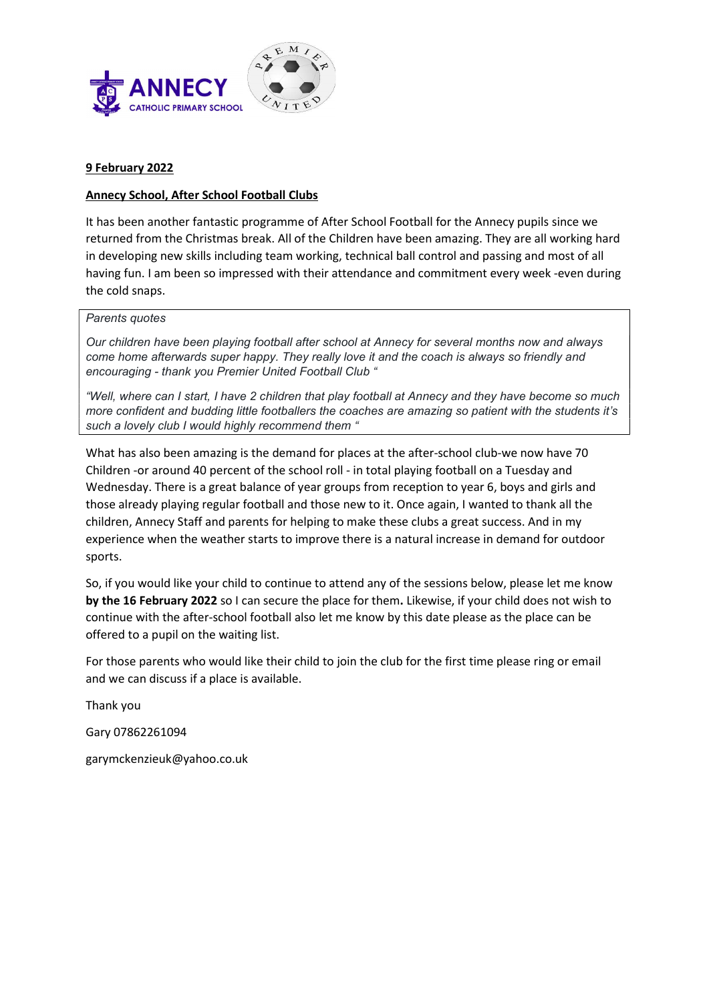

## 9 February 2022

# Annecy School, After School Football Clubs

It has been another fantastic programme of After School Football for the Annecy pupils since we returned from the Christmas break. All of the Children have been amazing. They are all working hard in developing new skills including team working, technical ball control and passing and most of all having fun. I am been so impressed with their attendance and commitment every week -even during the cold snaps.

### Parents quotes

Our children have been playing football after school at Annecy for several months now and always come home afterwards super happy. They really love it and the coach is always so friendly and encouraging - thank you Premier United Football Club "

"Well, where can I start, I have 2 children that play football at Annecy and they have become so much more confident and budding little footballers the coaches are amazing so patient with the students it's such a lovely club I would highly recommend them "

What has also been amazing is the demand for places at the after-school club-we now have 70 Children -or around 40 percent of the school roll - in total playing football on a Tuesday and Wednesday. There is a great balance of year groups from reception to year 6, boys and girls and those already playing regular football and those new to it. Once again, I wanted to thank all the children, Annecy Staff and parents for helping to make these clubs a great success. And in my experience when the weather starts to improve there is a natural increase in demand for outdoor sports.

So, if you would like your child to continue to attend any of the sessions below, please let me know by the 16 February 2022 so I can secure the place for them. Likewise, if your child does not wish to continue with the after-school football also let me know by this date please as the place can be offered to a pupil on the waiting list.

For those parents who would like their child to join the club for the first time please ring or email and we can discuss if a place is available.

Thank you

Gary 07862261094

garymckenzieuk@yahoo.co.uk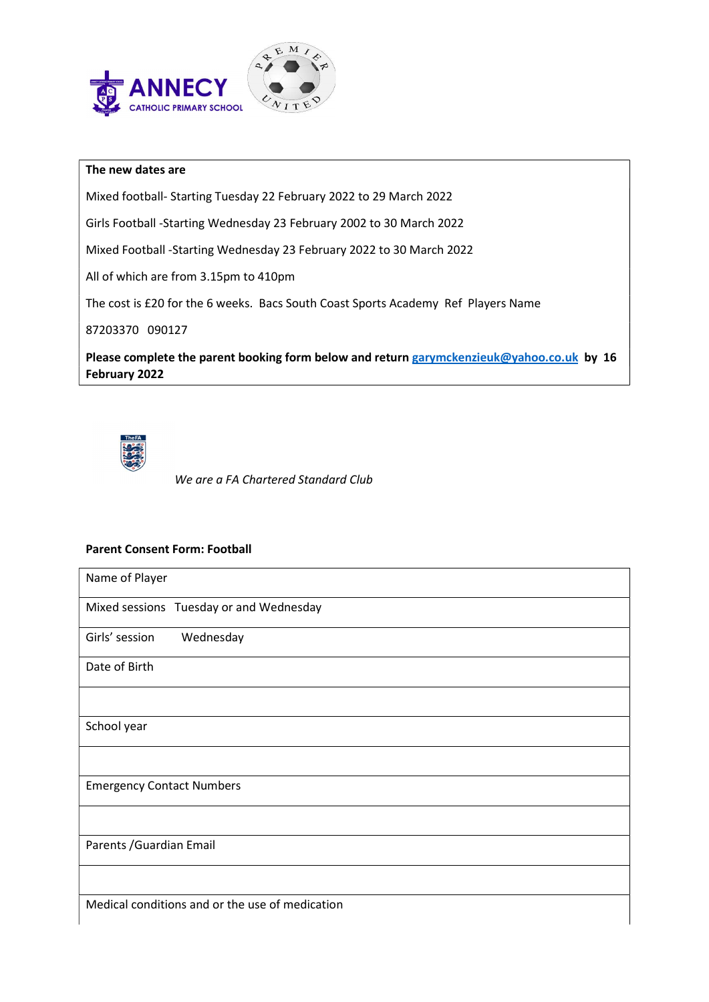

### The new dates are

Mixed football- Starting Tuesday 22 February 2022 to 29 March 2022

Girls Football -Starting Wednesday 23 February 2002 to 30 March 2022

Mixed Football -Starting Wednesday 23 February 2022 to 30 March 2022

All of which are from 3.15pm to 410pm

The cost is £20 for the 6 weeks. Bacs South Coast Sports Academy Ref Players Name

87203370 090127

Please complete the parent booking form below and return garymckenzieuk@yahoo.co.uk by 16 February 2022



We are a FA Chartered Standard Club

### Parent Consent Form: Football

| Name of Player                                  |
|-------------------------------------------------|
| Mixed sessions Tuesday or and Wednesday         |
| Girls' session<br>Wednesday                     |
| Date of Birth                                   |
|                                                 |
| School year                                     |
|                                                 |
| <b>Emergency Contact Numbers</b>                |
|                                                 |
| Parents / Guardian Email                        |
|                                                 |
| Medical conditions and or the use of medication |